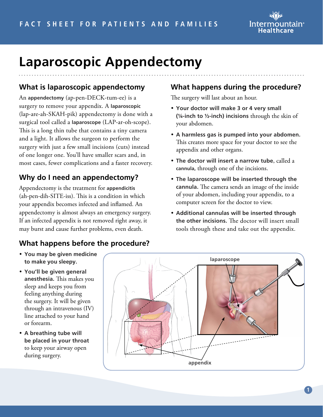

# **Laparoscopic Appendectomy**

#### **What is laparoscopic appendectomy**

An **appendectomy** (ap-pen-DECK-tum-ee) is a surgery to remove your appendix. A **laparoscopic**  (lap-are-ah-SKAH-pik) appendectomy is done with a surgical tool called a **laparoscope** (LAP-ar-oh-scope). This is a long thin tube that contains a tiny camera and a light. It allows the surgeon to perform the surgery with just a few small incisions (cuts) instead of one longer one. You'll have smaller scars and, in most cases, fewer complications and a faster recovery.

#### **Why do I need an appendectomy?**

Appendectomy is the treatment for **appendicitis** (ah-pen-dih-SITE-iss). This is a condition in which your appendix becomes infected and inflamed. An appendectomy is almost always an emergency surgery. If an infected appendix is not removed right away, it may burst and cause further problems, even death.

#### **What happens before the procedure?**

#### • **You may be given medicine to make you sleepy.**

- **You'll be given general anesthesia.** This makes you sleep and keeps you from feeling anything during the surgery. It will be given through an intravenous (IV) line attached to your hand or forearm.
- **A breathing tube will be placed in your throat** to keep your airway open during surgery.

### **What happens during the procedure?**

The surgery will last about an hour.

- **Your doctor will make 3 or 4 very small (¼-inch to ½-inch) incisions** through the skin of your abdomen.
- **A harmless gas is pumped into your abdomen.**  This creates more space for your doctor to see the appendix and other organs.
- **The doctor will insert a narrow tube**, called a **cannula,** through one of the incisions.
- **The laparoscope will be inserted through the cannula.** The camera sends an image of the inside of your abdomen, including your appendix, to a computer screen for the doctor to view.
- **Additional cannulas will be inserted through the other incisions.** The doctor will insert small tools through these and take out the appendix.